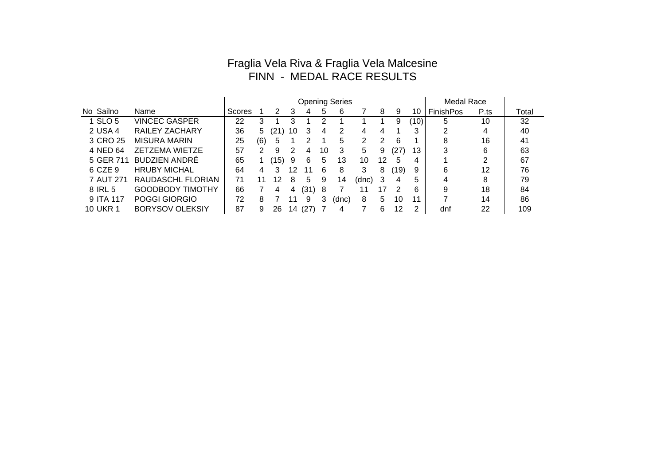## Fraglia Vela Riva & Fraglia Vela Malcesine FINN - MEDAL RACE RESULTS

|           |                        | <b>Opening Series</b> |     |              |    |      |    |       |       |    |      | <b>Medal Race</b> |                  |      |       |
|-----------|------------------------|-----------------------|-----|--------------|----|------|----|-------|-------|----|------|-------------------|------------------|------|-------|
| No Sailno | Name                   | Scores                |     | 2            | 3  | 4    | 5  | 6     |       | 8  | 9    | 10                | <b>FinishPos</b> | P.ts | Total |
| 1 SLO 5   | <b>VINCEC GASPER</b>   | 22                    | 3   |              | 3  |      | າ  |       |       |    | 9    | (10)              | 5                | 10   | 32    |
| 2 USA 4   | <b>RAILEY ZACHARY</b>  | 36                    | 5   | $21^{\circ}$ | 10 | 3    | 4  | 2     | 4     | 4  |      | 3                 | ົ                | 4    | 40    |
| 3 CRO 25  | <b>MISURA MARIN</b>    | 25                    | (6) | 5            |    |      |    | 5     | 2     | 2  | 6    |                   | 8                | 16   | 41    |
| 4 NED 64  | <b>ZETZEMA WIETZE</b>  | 57                    | 2   | 9            | 2  | 4    | 10 | 3     | 5     | 9  | (27) | 13                | 3                | 6    | 63    |
| 5 GER 711 | <b>BUDZIEN ANDRÉ</b>   | 65                    |     | (15)         | 9  | 6    | 5  | 13    | 10    | 12 | 5    | 4                 |                  | າ    | 67    |
| 6 CZE 9   | <b>HRUBY MICHAL</b>    | 64                    | 4   | 3            | 12 | 11   | 6  | 8     | 3     | 8  | (19) | 9                 | 6                | 12   | 76    |
| 7 AUT 271 | RAUDASCHL FLORIAN      | 71                    | 11  | 12           | 8  | 5    | 9  | 14    | (dnc) | 3  | 4    | 5                 | 4                | 8    | 79    |
| 8 IRL 5   | GOODBODY TIMOTHY       | 66                    |     | 4            | 4  | (31) | 8  |       | 11    | 17 | 2    | 6                 | 9                | 18   | 84    |
| 9 ITA 117 | POGGI GIORGIO          | 72                    | 8   |              |    | 9    | 3  | (dnc) | 8     | 5  | 10   | 11                | ⇁                | 14   | 86    |
| 10 UKR 1  | <b>BORYSOV OLEKSIY</b> | 87                    | 9   | 26           | 14 | (27) |    | 4     |       | 6  | 12   | ◠                 | dnf              | 22   | 109   |